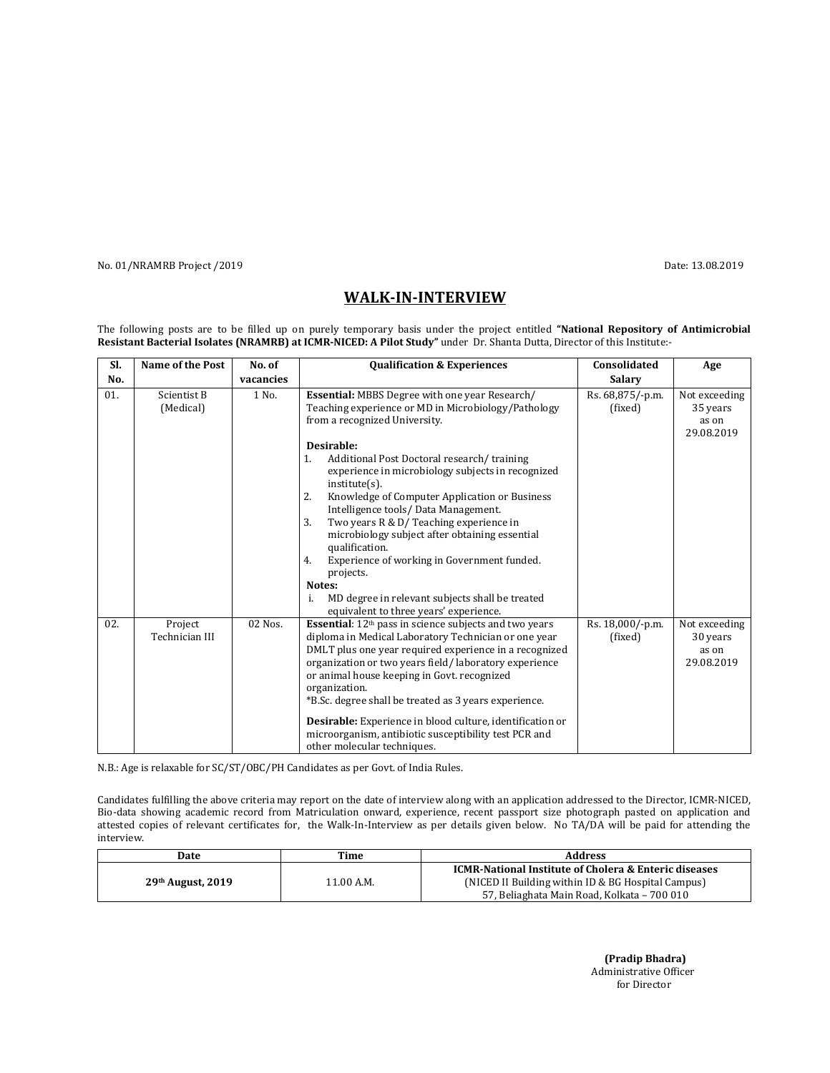No. 01/NRAMRB Project /2019 Date: 13.08.2019

## WALK-IN-INTERVIEW

The following posts are to be filled up on purely temporary basis under the project entitled "National Repository of Antimicrobial Resistant Bacterial Isolates (NRAMRB) at ICMR-NICED: A Pilot Study" under Dr. Shanta Dutta, Director of this Institute:-

| SI. | <b>Name of the Post</b>   | No. of    | <b>Qualification &amp; Experiences</b>                                                                                                                                                                                                                                                                                                                                                                                                                                                                                                                                                  | Consolidated                | Age                                              |
|-----|---------------------------|-----------|-----------------------------------------------------------------------------------------------------------------------------------------------------------------------------------------------------------------------------------------------------------------------------------------------------------------------------------------------------------------------------------------------------------------------------------------------------------------------------------------------------------------------------------------------------------------------------------------|-----------------------------|--------------------------------------------------|
| No. |                           | vacancies |                                                                                                                                                                                                                                                                                                                                                                                                                                                                                                                                                                                         | <b>Salary</b>               |                                                  |
| 01. | Scientist B<br>(Medical)  | 1 No.     | <b>Essential: MBBS Degree with one year Research/</b><br>Teaching experience or MD in Microbiology/Pathology<br>from a recognized University.<br>Desirable:<br>Additional Post Doctoral research/training<br>1.<br>experience in microbiology subjects in recognized<br>$institute(s)$ .<br>Knowledge of Computer Application or Business<br>2.<br>Intelligence tools/Data Management.<br>3.<br>Two years R & D/ Teaching experience in<br>microbiology subject after obtaining essential<br>qualification.<br>Experience of working in Government funded.<br>4.<br>projects.<br>Notes: | Rs. 68,875/-p.m.<br>(fixed) | Not exceeding<br>35 years<br>as on<br>29.08.2019 |
|     |                           |           | MD degree in relevant subjects shall be treated<br>i.<br>equivalent to three years' experience.                                                                                                                                                                                                                                                                                                                                                                                                                                                                                         |                             |                                                  |
| 02. | Project<br>Technician III | 02 Nos.   | <b>Essential:</b> 12 <sup>th</sup> pass in science subjects and two years<br>diploma in Medical Laboratory Technician or one year<br>DMLT plus one year required experience in a recognized<br>organization or two years field/laboratory experience<br>or animal house keeping in Govt. recognized<br>organization.<br>*B.Sc. degree shall be treated as 3 years experience.<br>Desirable: Experience in blood culture, identification or<br>microorganism, antibiotic susceptibility test PCR and<br>other molecular techniques.                                                      | Rs. 18,000/-p.m.<br>(fixed) | Not exceeding<br>30 years<br>as on<br>29.08.2019 |

N.B.: Age is relaxable for SC/ST/OBC/PH Candidates as per Govt. of India Rules.

Candidates fulfilling the above criteria may report on the date of interview along with an application addressed to the Director, ICMR-NICED, Bio-data showing academic record from Matriculation onward, experience, recent passport size photograph pasted on application and attested copies of relevant certificates for, the Walk-In-Interview as per details given below. No TA/DA will be paid for attending the interview.

| Date                | Time       | <b>Address</b>                                                                                                                                                        |
|---------------------|------------|-----------------------------------------------------------------------------------------------------------------------------------------------------------------------|
| $29th$ August, 2019 | 11.00 A.M. | <b>ICMR-National Institute of Cholera &amp; Enteric diseases</b><br>(NICED II Building within ID & BG Hospital Campus)<br>57, Beliaghata Main Road, Kolkata - 700 010 |

 (Pradip Bhadra) Administrative Officer for Director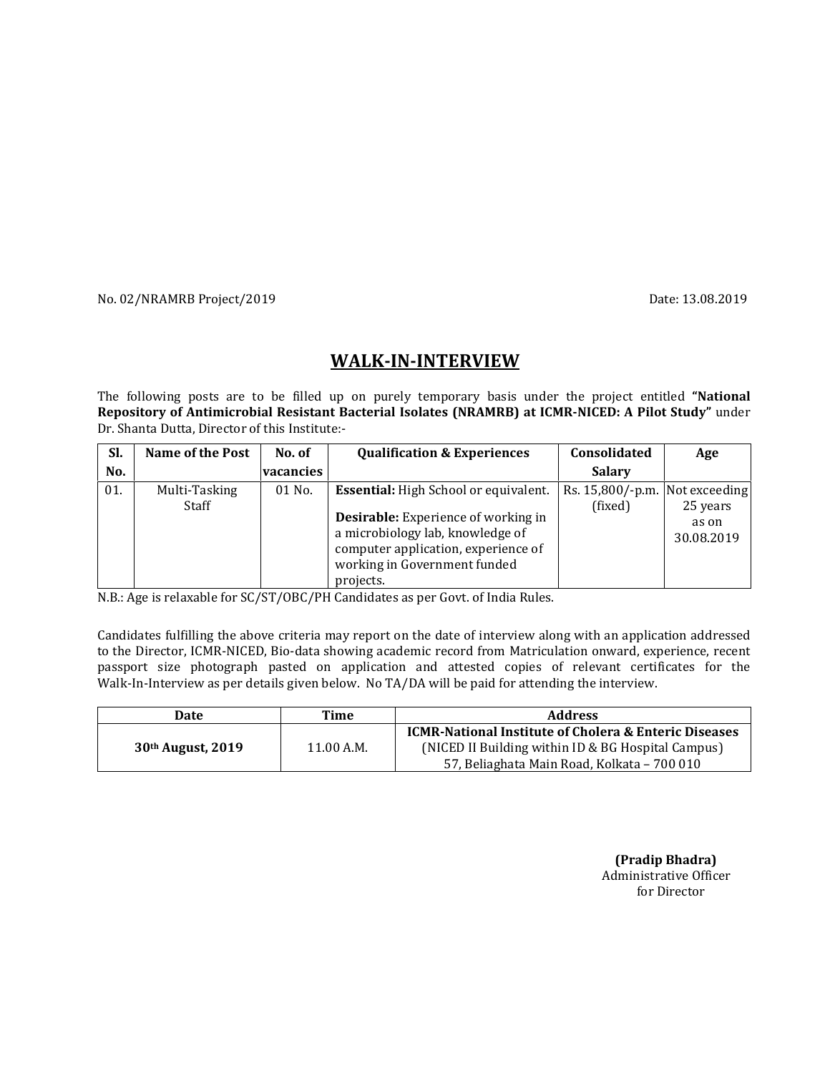No. 02/NRAMRB Project/2019 **Date: 13.08.2019** Date: 13.08.2019

## WALK-IN-INTERVIEW

The following posts are to be filled up on purely temporary basis under the project entitled "National Repository of Antimicrobial Resistant Bacterial Isolates (NRAMRB) at ICMR-NICED: A Pilot Study" under Dr. Shanta Dutta, Director of this Institute:-

| SI. | Name of the Post       | No. of    | <b>Qualification &amp; Experiences</b>                                                                                                                                                                | Consolidated                              | Age                             |
|-----|------------------------|-----------|-------------------------------------------------------------------------------------------------------------------------------------------------------------------------------------------------------|-------------------------------------------|---------------------------------|
| No. |                        | vacancies |                                                                                                                                                                                                       | <b>Salary</b>                             |                                 |
| 01. | Multi-Tasking<br>Staff | $01$ No.  | <b>Essential:</b> High School or equivalent.<br><b>Desirable:</b> Experience of working in<br>a microbiology lab, knowledge of<br>computer application, experience of<br>working in Government funded | Rs. 15,800/-p.m. Not exceeding<br>(fixed) | 25 years<br>as on<br>30.08.2019 |
|     |                        |           | projects.                                                                                                                                                                                             |                                           |                                 |

N.B.: Age is relaxable for SC/ST/OBC/PH Candidates as per Govt. of India Rules.

Candidates fulfilling the above criteria may report on the date of interview along with an application addressed to the Director, ICMR-NICED, Bio-data showing academic record from Matriculation onward, experience, recent passport size photograph pasted on application and attested copies of relevant certificates for the Walk-In-Interview as per details given below. No TA/DA will be paid for attending the interview.

| Date                | Time       | <b>Address</b>                                                                                                                                                        |
|---------------------|------------|-----------------------------------------------------------------------------------------------------------------------------------------------------------------------|
| $30th$ August, 2019 | 11.00 A.M. | <b>ICMR-National Institute of Cholera &amp; Enteric Diseases</b><br>(NICED II Building within ID & BG Hospital Campus)<br>57, Beliaghata Main Road, Kolkata - 700 010 |

 (Pradip Bhadra) Administrative Officer for Director